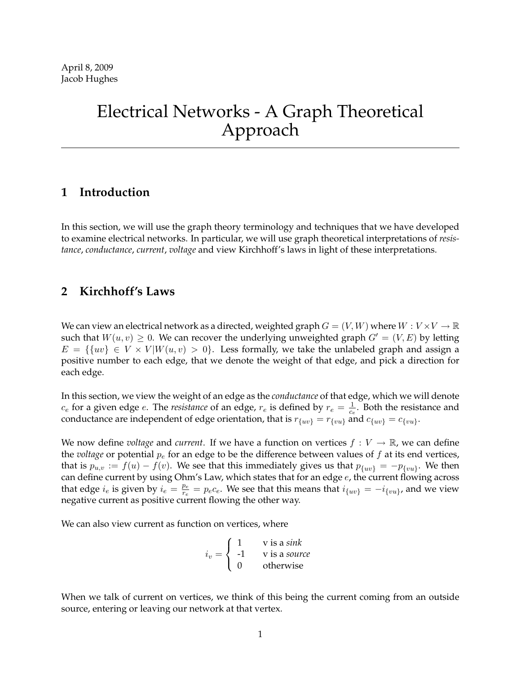# Electrical Networks - A Graph Theoretical Approach

### **1 Introduction**

In this section, we will use the graph theory terminology and techniques that we have developed to examine electrical networks. In particular, we will use graph theoretical interpretations of *resistance*, *conductance*, *current*, *voltage* and view Kirchhoff's laws in light of these interpretations.

# **2 Kirchhoff's Laws**

We can view an electrical network as a directed, weighted graph  $G = (V, W)$  where  $W: V \times V \to \mathbb{R}$ such that  $W(u, v) \geq 0$ . We can recover the underlying unweighted graph  $G' = (V, E)$  by letting  $E = \{ \{uv\} \in V \times V | W(u, v) > 0 \}.$  Less formally, we take the unlabeled graph and assign a positive number to each edge, that we denote the weight of that edge, and pick a direction for each edge.

In this section, we view the weight of an edge as the *conductance* of that edge, which we will denote  $c_e$  for a given edge *e*. The *resistance* of an edge,  $r_e$  is defined by  $r_e = \frac{1}{c_e}$  $\frac{1}{c_e}$ . Both the resistance and conductance are independent of edge orientation, that is  $r_{\{uv\}} = r_{\{vu\}}$  and  $c_{\{uv\}} = c_{\{vu\}}$ .

We now define *voltage* and *current*. If we have a function on vertices  $f: V \to \mathbb{R}$ , we can define the *voltage* or potential  $p_e$  for an edge to be the difference between values of  $f$  at its end vertices, that is  $p_{u,v} := f(u) - f(v)$ . We see that this immediately gives us that  $p_{\{uv\}} = -p_{\{vu\}}$ . We then can define current by using Ohm's Law, which states that for an edge e, the current flowing across that edge  $i_e$  is given by  $i_e = \frac{p_e}{r_e}$  $\frac{p_e}{r_e}=p_e c_e.$  We see that this means that  $i_{\{uv\}}=-i_{\{vu\}}$ , and we view negative current as positive current flowing the other way.

We can also view current as function on vertices, where

$$
i_v = \begin{cases} 1 & \text{v is a sink} \\ -1 & \text{v is a source} \\ 0 & \text{otherwise} \end{cases}
$$

When we talk of current on vertices, we think of this being the current coming from an outside source, entering or leaving our network at that vertex.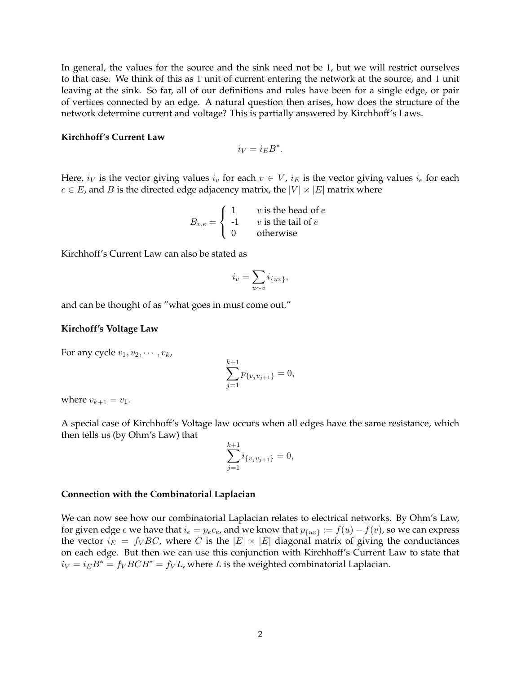In general, the values for the source and the sink need not be 1, but we will restrict ourselves to that case. We think of this as 1 unit of current entering the network at the source, and 1 unit leaving at the sink. So far, all of our definitions and rules have been for a single edge, or pair of vertices connected by an edge. A natural question then arises, how does the structure of the network determine current and voltage? This is partially answered by Kirchhoff's Laws.

#### **Kirchhoff's Current Law**

$$
i_V = i_E B^*.
$$

Here,  $i_V$  is the vector giving values  $i_v$  for each  $v \in V$ ,  $i_E$  is the vector giving values  $i_e$  for each  $e \in E$ , and B is the directed edge adjacency matrix, the  $|V| \times |E|$  matrix where

$$
B_{v,e} = \begin{cases} 1 & v \text{ is the head of } e \\ -1 & v \text{ is the tail of } e \\ 0 & \text{otherwise} \end{cases}
$$

Kirchhoff's Current Law can also be stated as

$$
i_v = \sum_{u \sim v} i_{\{uv\}},
$$

and can be thought of as "what goes in must come out."

#### **Kirchoff's Voltage Law**

For any cycle  $v_1, v_2, \cdots, v_k$ ,

$$
\sum_{j=1}^{k+1} p_{\{v_j v_{j+1}\}} = 0,
$$

where  $v_{k+1} = v_1$ .

A special case of Kirchhoff's Voltage law occurs when all edges have the same resistance, which then tells us (by Ohm's Law) that

$$
\sum_{j=1}^{k+1} i_{\{v_j v_{j+1}\}} = 0,
$$

#### **Connection with the Combinatorial Laplacian**

We can now see how our combinatorial Laplacian relates to electrical networks. By Ohm's Law, for given edge  $e$  we have that  $i_e=p_e c_e$ , and we know that  $p_{\{uv\}}:=f(u)-f(v)$ , so we can express the vector  $i_E = f_V BC$ , where C is the  $|E| \times |E|$  diagonal matrix of giving the conductances on each edge. But then we can use this conjunction with Kirchhoff's Current Law to state that  $i_V = i_E B^* = f_V B C B^* = f_V L$ , where L is the weighted combinatorial Laplacian.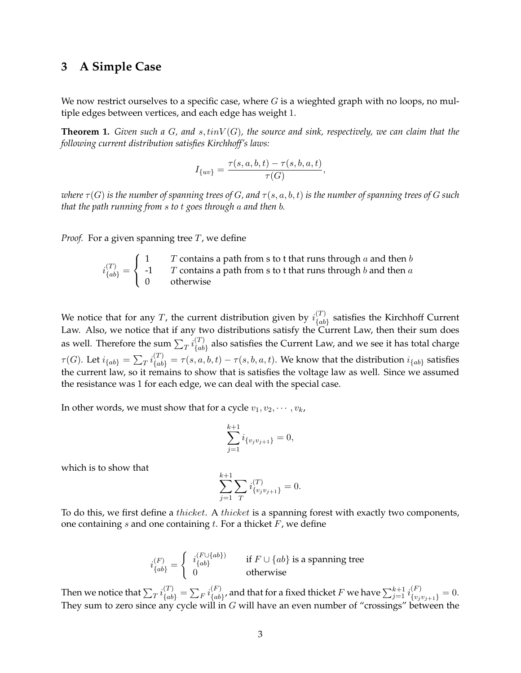### **3 A Simple Case**

We now restrict ourselves to a specific case, where  $G$  is a wieghted graph with no loops, no multiple edges between vertices, and each edge has weight 1.

**Theorem 1.** *Given such a* G*, and* s, tinV (G)*, the source and sink, respectively, we can claim that the following current distribution satisfies Kirchhoff's laws:*

$$
I_{\{uv\}}=\frac{\tau(s,a,b,t)-\tau(s,b,a,t)}{\tau(G)},
$$

*where*  $\tau(G)$  *is the number of spanning trees of* G, and  $\tau(s, a, b, t)$  *is the number of spanning trees of* G *such that the path running from* s *to* t *goes through* a *and then* b*.*

*Proof.* For a given spanning tree  $T$ , we define

$$
i_{\{ab\}}^{(T)} = \begin{cases} 1 & T \text{ contains a path from s to t that runs through a and then b} \\ -1 & T \text{ contains a path from s to t that runs through b and then a} \\ 0 & \text{otherwise} \end{cases}
$$

We notice that for any T, the current distribution given by  $i_{lab}^{(T)}$  $\binom{a}{a}$  satisfies the Kirchhoff Current Law. Also, we notice that if any two distributions satisfy the Current Law, then their sum does as well. Therefore the sum  $\sum_T i_{\{ab} }^{(T)}$  $\binom{1}{\{ab\}}$  also satisfies the Current Law, and we see it has total charge  $\tau(G)$ . Let  $i_{\{ab\}} = \sum_{T} i_{\{ab\}}^{(T)} = \tau(s, a, b, t) - \tau(s, b, a, t)$ . We know that the distribution  $i_{\{ab\}}$  satisfies the current law, so it remains to show that is satisfies the voltage law as well. Since we assumed the resistance was 1 for each edge, we can deal with the special case.

In other words, we must show that for a cycle  $v_1, v_2, \dots, v_k$ ,

$$
\sum_{j=1}^{k+1} i_{\{v_j v_{j+1}\}} = 0,
$$

which is to show that

$$
\sum_{j=1}^{k+1} \sum_{T} i^{(T)}_{\{v_j v_{j+1}\}} = 0.
$$

To do this, we first define a *thicket*. A *thicket* is a spanning forest with exactly two components, one containing  $s$  and one containing  $t$ . For a thicket  $F$ , we define

$$
i^{(F)}_{\{ab\}} = \left\{ \begin{array}{ll} i^{(F \cup \{ab\})}_{\{ab\}} & \quad \text{if } F \cup \{ab\} \text{ is a spanning tree} \\ 0 & \quad \text{otherwise} \end{array} \right.
$$

Then we notice that  $\sum_T i_{\{ab\}}^{(T)}=\sum_F i_{\{ab\}}^{(F)}$  $\mathcal{A}_{\{ab\}}^{(F)}$ , and that for a fixed thicket  $F$  we have  $\sum_{j=1}^{k+1} i^{(F)}_{\{v_j v_{j+1}\}} = 0.$ They sum to zero since any cycle will in  $G$  will have an even number of "crossings" between the